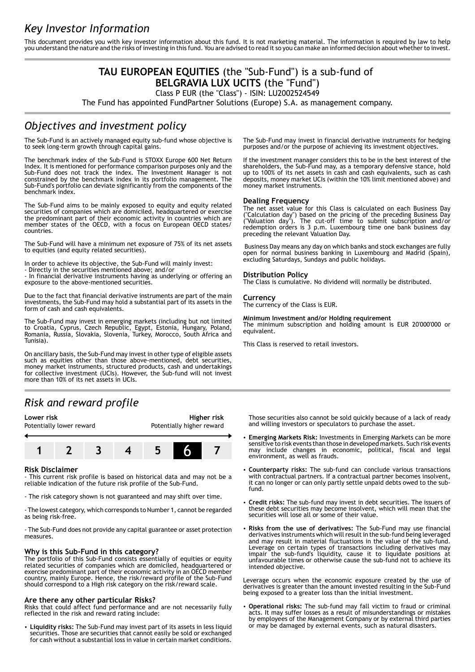# *Key Investor Information*

This document provides you with key investor information about this fund. It is not marketing material. The information is required by law to help you understand the nature and the risks of investing in this fund. You are advised to read it so you can make an informed decision about whether to invest.

## **TAU EUROPEAN EQUITIES** (the "Sub-Fund") is a sub-fund of **BELGRAVIA LUX UCITS** (the "Fund")

Class P EUR (the "Class") - ISIN: LU2002524549

The Fund has appointed FundPartner Solutions (Europe) S.A. as management company.

## *Objectives and investment policy*

The Sub-Fund is an actively managed equity sub-fund whose objective is to seek long-term growth through capital gains.

The benchmark index of the Sub-Fund is STOXX Europe 600 Net Return Index. It is mentioned for performance comparison purposes only and the Sub-Fund does not track the index. The Investment Manager is not constrained by the benchmark index in its portfolio management. The Sub-Fund's portfolio can deviate significantly from the components of the benchmark index.

The Sub-Fund aims to be mainly exposed to equity and equity related securities of companies which are domiciled, headquartered or exercise the predominant part of their economic activity in countries which are member states of the OECD, with a focus on European OECD states/ countries.

The Sub-Fund will have a minimum net exposure of 75% of its net assets to equities (and equity related securities).

In order to achieve its objective, the Sub-Fund will mainly invest:

- Directly in the securities mentioned above; and/or

- In financial derivative instruments having as underlying or offering an exposure to the above-mentioned securities.

Due to the fact that financial derivative instruments are part of the main investments, the Sub-Fund may hold a substantial part of its assets in the form of cash and cash equivalents.

The Sub-Fund may invest in emerging markets (including but not limited to Croatia, Cyprus, Czech Republic, Egypt, Estonia, Hungary, Poland, Romania, Russia, Slovakia, Slovenia, Turkey, Morocco, South Africa and Tunisia).

On ancillary basis, the Sub-Fund may invest in other type of eligible assets such as equities other than those above-mentioned, debt securities, money market instruments, structured products, cash and undertakings for collective investment (UCIs). However, the Sub-fund will not invest more than 10% of its net assets in UCIs.

## *Risk and reward profile*

### **Lower risk Higher risk**

Potentially lower reward Potentially higher reward



### **Risk Disclaimer**

- This current risk profile is based on historical data and may not be a reliable indication of the future risk profile of the Sub-Fund.

- The risk category shown is not guaranteed and may shift over time.

- The lowest category, which corresponds to Number 1, cannot be regarded as being risk-free.

- The Sub-Fund does not provide any capital guarantee or asset protection measures.

### **Why is this Sub-Fund in this category?**

The portfolio of this Sub-Fund consists essentially of equities or equity related securities of companies which are domiciled, headquartered or exercise predominant part of their economic activity in an OECD member country, mainly Europe. Hence, the risk/reward profile of the Sub-Fund should correspond to a High risk category on the risk/reward scale.

### **Are there any other particular Risks?**

Risks that could affect fund performance and are not necessarily fully reflected in the risk and reward rating include:

2 **Liquidity risks:** The Sub-Fund may invest part of its assets in less liquid securities. Those are securities that cannot easily be sold or exchanged for cash without a substantial loss in value in certain market conditions.

The Sub-Fund may invest in financial derivative instruments for hedging purposes and/or the purpose of achieving its investment objectives.

If the investment manager considers this to be in the best interest of the shareholders, the Sub-Fund may, as a temporary defensive stance, hold up to 100% of its net assets in cash and cash equivalents, such as cash deposits, money market UCIs (within the 10% limit mentioned above) and money market instruments.

### **Dealing Frequency**

The net asset value for this Class is calculated on each Business Day ("Calculation day") based on the pricing of the preceding Business Day ("Valuation day"). The cut-off time to submit subscription and/or redemption orders is 3 p.m. Luxembourg time one bank business day preceding the relevant Valuation Day.

 Business Day means any day on which banks and stock exchanges are fully open for normal business banking in Luxembourg and Madrid (Spain), excluding Saturdays, Sundays and public holidays.

### **Distribution Policy**

The Class is cumulative. No dividend will normally be distributed.

## **Currency**

The currency of the Class is EUR.

#### **Minimum Investment and/or Holding requirement**

The minimum subscription and holding amount is EUR 20'000'000 or equivalent.

This Class is reserved to retail investors.

Those securities also cannot be sold quickly because of a lack of ready and willing investors or speculators to purchase the asset.

- 2 **Emerging Markets Risk:** Investments in Emerging Markets can be more sensitive to risk events than those in developed markets. Such risk events may include changes in economic, political, fiscal and legal environment, as well as frauds.
- 2 **Counterparty risks:** The sub-fund can conclude various transactions with contractual partners. If a contractual partner becomes insolvent, it can no longer or can only partly settle unpaid debts owed to the subfund.
- 2 **Credit risks:** The sub-fund may invest in debt securities. The issuers of these debt securities may become insolvent, which will mean that the securities will lose all or some of their value.
- 2 **Risks from the use of derivatives:** The Sub-Fund may use financial derivatives instruments which will result in the sub-fund being leveraged and may result in material fluctuations in the value of the sub-fund. Leverage on certain types of transactions including derivatives may impair the sub-fund's liquidity, cause it to liquidate positions at unfavourable times or otherwise cause the sub-fund not to achieve its intended objective.

Leverage occurs when the economic exposure created by the use of derivatives is greater than the amount invested resulting in the Sub-Fund being exposed to a greater loss than the initial investment.

2 **Operational risks:** The sub-fund may fall victim to fraud or criminal acts. It may suffer losses as a result of misunderstandings or mistakes by employees of the Management Company or by external third parties or may be damaged by external events, such as natural disasters.